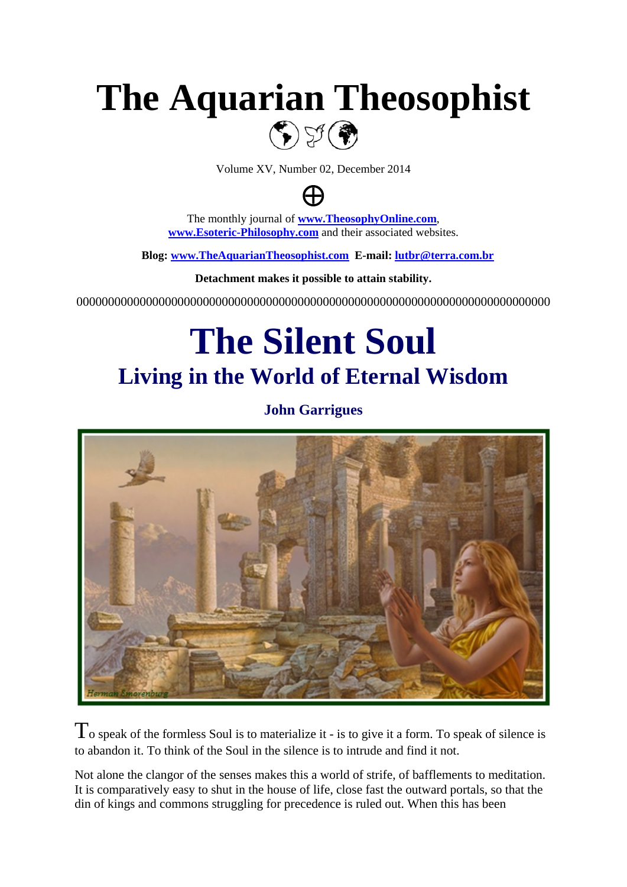# **The Aquarian Theosophist**



Volume XV, Number 02, December 2014



The monthly journal of **[www.TheosophyOnline.com](http://www.theosophyonline.com/)**, **[www.Esoteric-Philosophy.com](http://www.esoteric-philosophy.com/)** and their associated websites.

 **Blog: [www.TheAquarianTheosophist.com](http://www.theaquariantheosophist.com/) E-mail: [lutbr@terra.com.br](mailto:lutbr@terra.com.br)**

**Detachment makes it possible to attain stability.**

000000000000000000000000000000000000000000000000000000000000000000000000000

# **The Silent Soul Living in the World of Eternal Wisdom**

**John Garrigues**



 $\Gamma$  o speak of the formless Soul is to materialize it - is to give it a form. To speak of silence is to abandon it. To think of the Soul in the silence is to intrude and find it not.

Not alone the clangor of the senses makes this a world of strife, of bafflements to meditation. It is comparatively easy to shut in the house of life, close fast the outward portals, so that the din of kings and commons struggling for precedence is ruled out. When this has been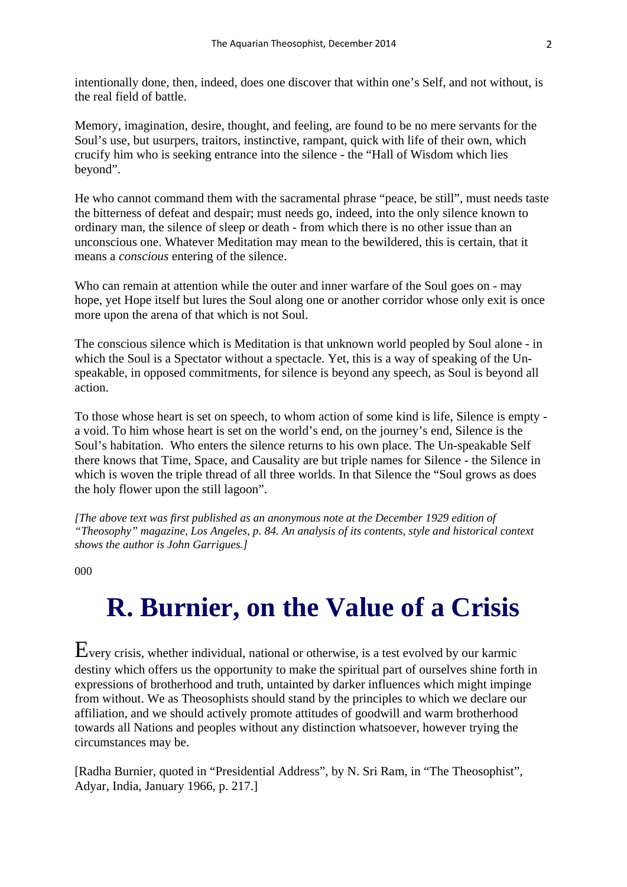intentionally done, then, indeed, does one discover that within one's Self, and not without, is the real field of battle.

Memory, imagination, desire, thought, and feeling, are found to be no mere servants for the Soul's use, but usurpers, traitors, instinctive, rampant, quick with life of their own, which crucify him who is seeking entrance into the silence - the "Hall of Wisdom which lies beyond".

He who cannot command them with the sacramental phrase "peace, be still", must needs taste the bitterness of defeat and despair; must needs go, indeed, into the only silence known to ordinary man, the silence of sleep or death - from which there is no other issue than an unconscious one. Whatever Meditation may mean to the bewildered, this is certain, that it means a *conscious* entering of the silence.

Who can remain at attention while the outer and inner warfare of the Soul goes on - may hope, yet Hope itself but lures the Soul along one or another corridor whose only exit is once more upon the arena of that which is not Soul.

The conscious silence which is Meditation is that unknown world peopled by Soul alone - in which the Soul is a Spectator without a spectacle. Yet, this is a way of speaking of the Unspeakable, in opposed commitments, for silence is beyond any speech, as Soul is beyond all action.

To those whose heart is set on speech, to whom action of some kind is life, Silence is empty a void. To him whose heart is set on the world's end, on the journey's end, Silence is the Soul's habitation. Who enters the silence returns to his own place. The Un-speakable Self there knows that Time, Space, and Causality are but triple names for Silence - the Silence in which is woven the triple thread of all three worlds. In that Silence the "Soul grows as does the holy flower upon the still lagoon".

*[The above text was first published as an anonymous note at the December 1929 edition of "Theosophy" magazine, Los Angeles, p. 84. An analysis of its contents, style and historical context shows the author is John Garrigues.]*

000

### **R. Burnier, on the Value of a Crisis**

Every crisis, whether individual, national or otherwise, is a test evolved by our karmic destiny which offers us the opportunity to make the spiritual part of ourselves shine forth in expressions of brotherhood and truth, untainted by darker influences which might impinge from without. We as Theosophists should stand by the principles to which we declare our affiliation, and we should actively promote attitudes of goodwill and warm brotherhood towards all Nations and peoples without any distinction whatsoever, however trying the circumstances may be.

[Radha Burnier, quoted in "Presidential Address", by N. Sri Ram, in "The Theosophist", Adyar, India, January 1966, p. 217.]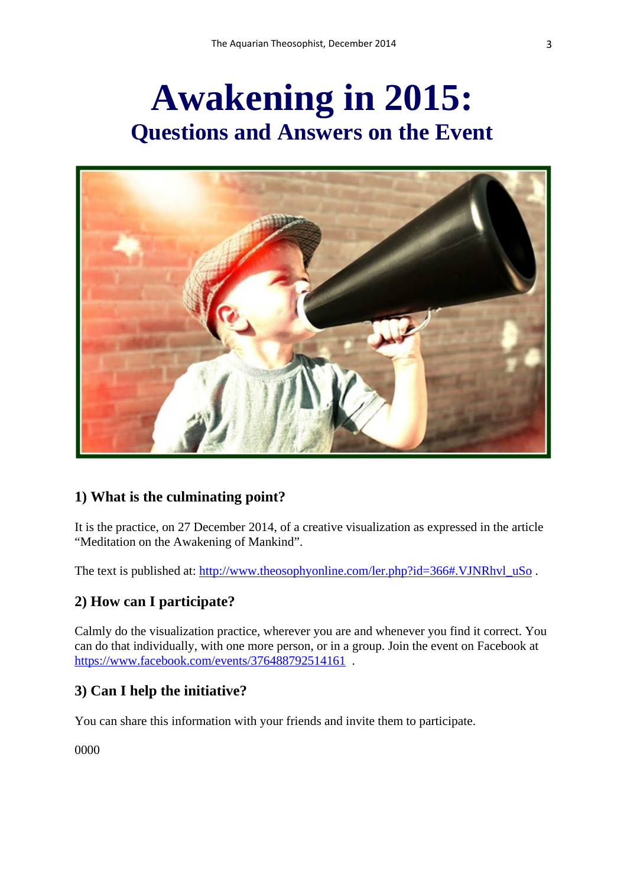# **Awakening in 2015: Questions and Answers on the Event**



#### **1) What is the culminating point?**

It is the practice, on 27 December 2014, of a creative visualization as expressed in the article "Meditation on the Awakening of Mankind".

The text is published at: [http://www.theosophyonline.com/ler.php?id=366#.VJNRhvl\\_uSo](http://www.theosophyonline.com/ler.php?id=366#.VJNRhvl_uSo).

#### **2) How can I participate?**

Calmly do the visualization practice, wherever you are and whenever you find it correct. You can do that individually, with one more person, or in a group. Join the event on Facebook at https://www.facebook.com/events/376488792514161.

#### **3) Can I help the initiative?**

You can share this information with your friends and invite them to participate.

0000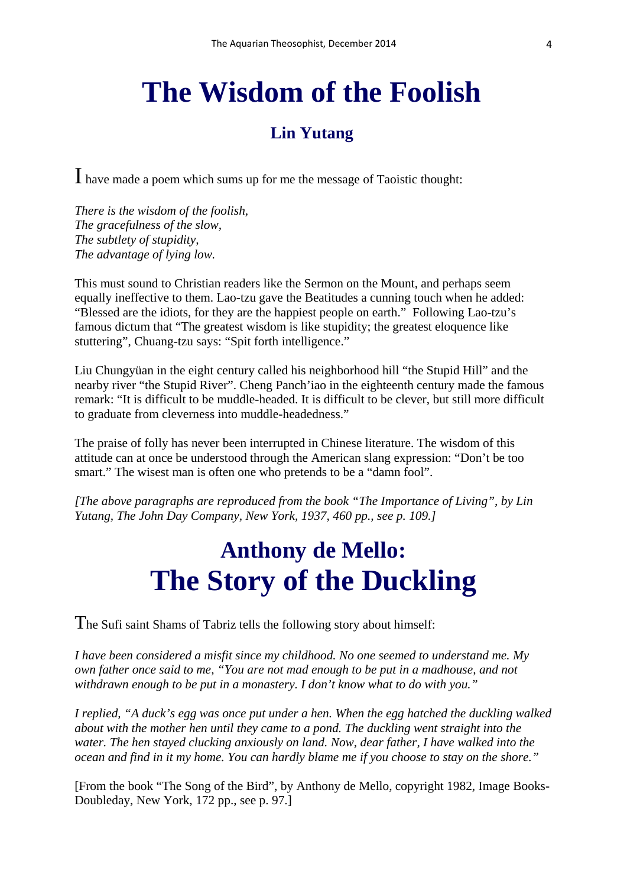### **The Wisdom of the Foolish**

### **Lin Yutang**

I have made a poem which sums up for me the message of Taoistic thought:

*There is the wisdom of the foolish, The gracefulness of the slow, The subtlety of stupidity, The advantage of lying low.* 

This must sound to Christian readers like the Sermon on the Mount, and perhaps seem equally ineffective to them. Lao-tzu gave the Beatitudes a cunning touch when he added: "Blessed are the idiots, for they are the happiest people on earth." Following Lao-tzu's famous dictum that "The greatest wisdom is like stupidity; the greatest eloquence like stuttering", Chuang-tzu says: "Spit forth intelligence."

Liu Chungyüan in the eight century called his neighborhood hill "the Stupid Hill" and the nearby river "the Stupid River". Cheng Panch'iao in the eighteenth century made the famous remark: "It is difficult to be muddle-headed. It is difficult to be clever, but still more difficult to graduate from cleverness into muddle-headedness."

The praise of folly has never been interrupted in Chinese literature. The wisdom of this attitude can at once be understood through the American slang expression: "Don't be too smart." The wisest man is often one who pretends to be a "damn fool".

*[The above paragraphs are reproduced from the book "The Importance of Living", by Lin Yutang, The John Day Company, New York, 1937, 460 pp., see p. 109.]*

### **Anthony de Mello: The Story of the Duckling**

The Sufi saint Shams of Tabriz tells the following story about himself:

*I have been considered a misfit since my childhood. No one seemed to understand me. My own father once said to me, "You are not mad enough to be put in a madhouse, and not withdrawn enough to be put in a monastery. I don't know what to do with you."*

*I replied, "A duck's egg was once put under a hen. When the egg hatched the duckling walked about with the mother hen until they came to a pond. The duckling went straight into the water. The hen stayed clucking anxiously on land. Now, dear father, I have walked into the ocean and find in it my home. You can hardly blame me if you choose to stay on the shore."*

[From the book "The Song of the Bird", by Anthony de Mello, copyright 1982, Image Books-Doubleday, New York, 172 pp., see p. 97.]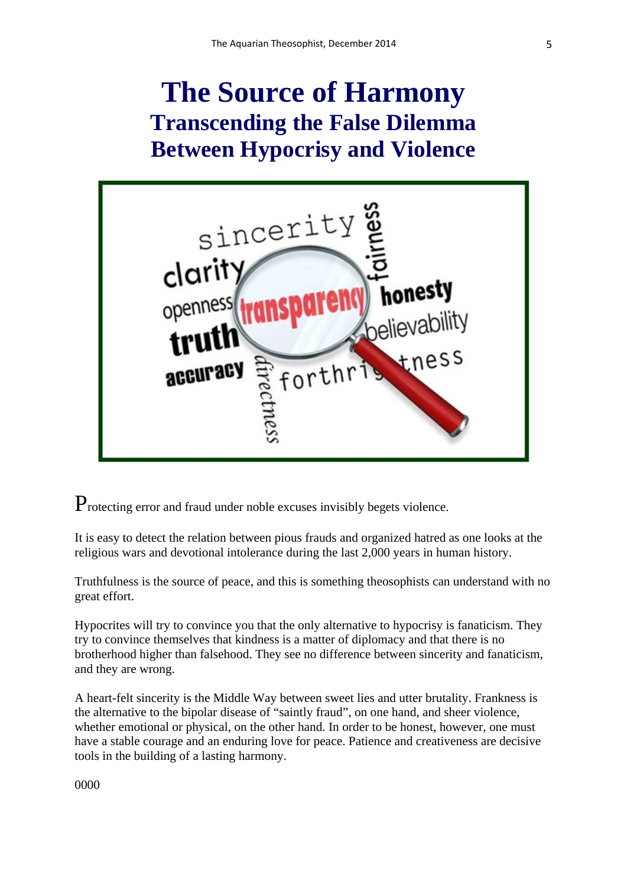### **The Source of Harmony Transcending the False Dilemma Between Hypocrisy and Violence**



Protecting error and fraud under noble excuses invisibly begets violence.

It is easy to detect the relation between pious frauds and organized hatred as one looks at the religious wars and devotional intolerance during the last 2,000 years in human history.

Truthfulness is the source of peace, and this is something theosophists can understand with no great effort.

Hypocrites will try to convince you that the only alternative to hypocrisy is fanaticism. They try to convince themselves that kindness is a matter of diplomacy and that there is no brotherhood higher than falsehood. They see no difference between sincerity and fanaticism, and they are wrong.

A heart-felt sincerity is the Middle Way between sweet lies and utter brutality. Frankness is the alternative to the bipolar disease of "saintly fraud", on one hand, and sheer violence, whether emotional or physical, on the other hand. In order to be honest, however, one must have a stable courage and an enduring love for peace. Patience and creativeness are decisive tools in the building of a lasting harmony.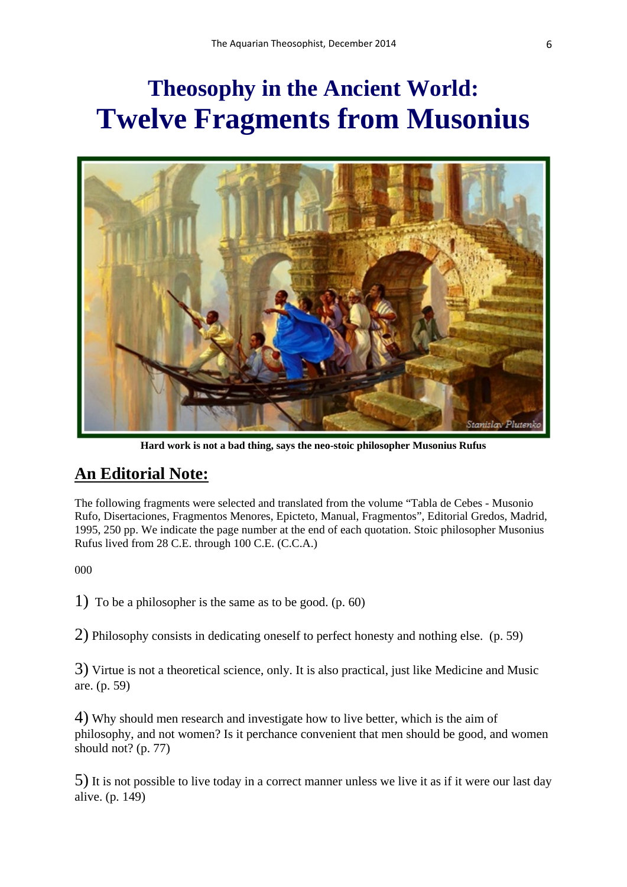### **Theosophy in the Ancient World: Twelve Fragments from Musonius**



**Hard work is not a bad thing, says the neo-stoic philosopher Musonius Rufus** 

### **An Editorial Note:**

The following fragments were selected and translated from the volume "Tabla de Cebes - Musonio Rufo, Disertaciones, Fragmentos Menores, Epicteto, Manual, Fragmentos", Editorial Gredos, Madrid, 1995, 250 pp. We indicate the page number at the end of each quotation. Stoic philosopher Musonius Rufus lived from 28 C.E. through 100 C.E. (C.C.A.)

000

1) To be a philosopher is the same as to be good. (p. 60)

2) Philosophy consists in dedicating oneself to perfect honesty and nothing else. (p. 59)

3) Virtue is not a theoretical science, only. It is also practical, just like Medicine and Music are. (p. 59)

4) Why should men research and investigate how to live better, which is the aim of philosophy, and not women? Is it perchance convenient that men should be good, and women should not? (p. 77)

5) It is not possible to live today in a correct manner unless we live it as if it were our last day alive. (p. 149)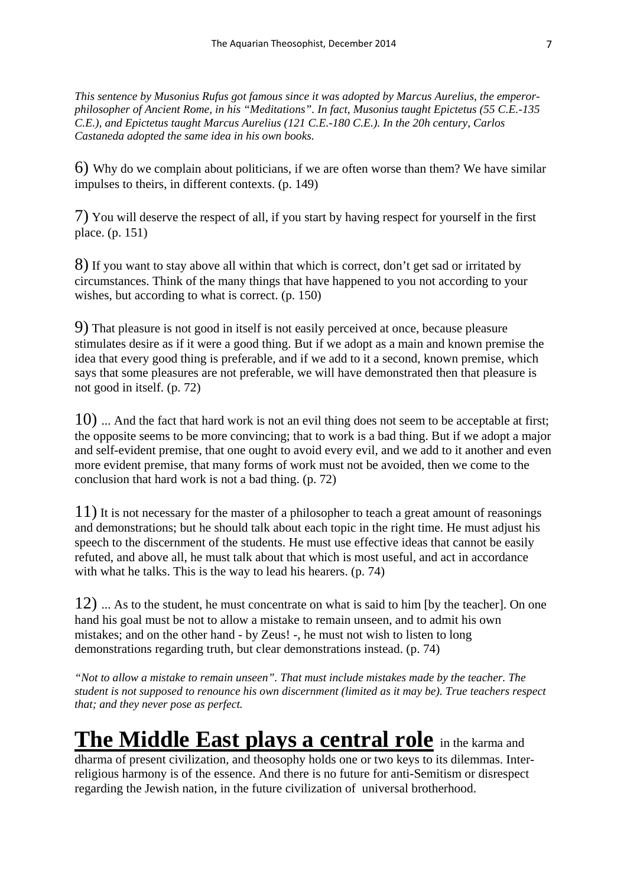*This sentence by Musonius Rufus got famous since it was adopted by Marcus Aurelius, the emperorphilosopher of Ancient Rome, in his "Meditations". In fact, Musonius taught Epictetus (55 C.E.-135 C.E.), and Epictetus taught Marcus Aurelius (121 C.E.-180 C.E.). In the 20h century, Carlos Castaneda adopted the same idea in his own books.*

6) Why do we complain about politicians, if we are often worse than them? We have similar impulses to theirs, in different contexts. (p. 149)

7) You will deserve the respect of all, if you start by having respect for yourself in the first place. (p. 151)

8) If you want to stay above all within that which is correct, don't get sad or irritated by circumstances. Think of the many things that have happened to you not according to your wishes, but according to what is correct. (p. 150)

9) That pleasure is not good in itself is not easily perceived at once, because pleasure stimulates desire as if it were a good thing. But if we adopt as a main and known premise the idea that every good thing is preferable, and if we add to it a second, known premise, which says that some pleasures are not preferable, we will have demonstrated then that pleasure is not good in itself. (p. 72)

10) ... And the fact that hard work is not an evil thing does not seem to be acceptable at first; the opposite seems to be more convincing; that to work is a bad thing. But if we adopt a major and self-evident premise, that one ought to avoid every evil, and we add to it another and even more evident premise, that many forms of work must not be avoided, then we come to the conclusion that hard work is not a bad thing. (p. 72)

11) It is not necessary for the master of a philosopher to teach a great amount of reasonings and demonstrations; but he should talk about each topic in the right time. He must adjust his speech to the discernment of the students. He must use effective ideas that cannot be easily refuted, and above all, he must talk about that which is most useful, and act in accordance with what he talks. This is the way to lead his hearers. (p. 74)

12) ... As to the student, he must concentrate on what is said to him [by the teacher]. On one hand his goal must be not to allow a mistake to remain unseen, and to admit his own mistakes; and on the other hand - by Zeus! -, he must not wish to listen to long demonstrations regarding truth, but clear demonstrations instead. (p. 74)

*"Not to allow a mistake to remain unseen". That must include mistakes made by the teacher. The student is not supposed to renounce his own discernment (limited as it may be). True teachers respect that; and they never pose as perfect.*

### **The Middle East plays a central role** in the karma and

dharma of present civilization, and theosophy holds one or two keys to its dilemmas. Interreligious harmony is of the essence. And there is no future for anti-Semitism or disrespect regarding the Jewish nation, in the future civilization of universal brotherhood.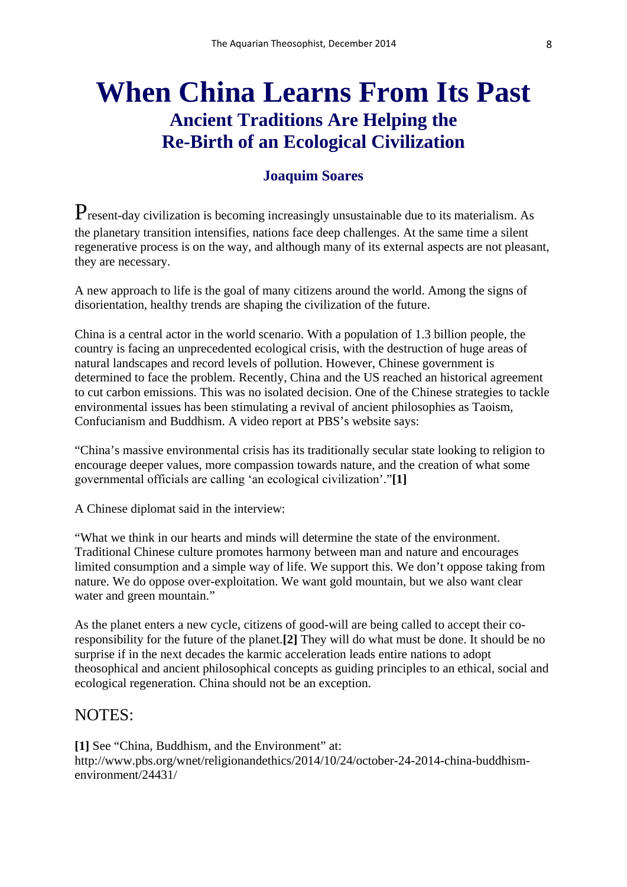### **When China Learns From Its Past Ancient Traditions Are Helping the Re-Birth of an Ecological Civilization**

#### **Joaquim Soares**

Present-day civilization is becoming increasingly unsustainable due to its materialism. As the planetary transition intensifies, nations face deep challenges. At the same time a silent regenerative process is on the way, and although many of its external aspects are not pleasant, they are necessary.

A new approach to life is the goal of many citizens around the world. Among the signs of disorientation, healthy trends are shaping the civilization of the future.

China is a central actor in the world scenario. With a population of 1.3 billion people, the country is facing an unprecedented ecological crisis, with the destruction of huge areas of natural landscapes and record levels of pollution. However, Chinese government is determined to face the problem. Recently, China and the US reached an historical agreement to cut carbon emissions. This was no isolated decision. One of the Chinese strategies to tackle environmental issues has been stimulating a revival of ancient philosophies as Taoism, Confucianism and Buddhism. A video report at PBS's website says:

"China's massive environmental crisis has its traditionally secular state looking to religion to encourage deeper values, more compassion towards nature, and the creation of what some governmental officials are calling ʻan ecological civilization'."**[1]**

A Chinese diplomat said in the interview:

"What we think in our hearts and minds will determine the state of the environment. Traditional Chinese culture promotes harmony between man and nature and encourages limited consumption and a simple way of life. We support this. We don't oppose taking from nature. We do oppose over-exploitation. We want gold mountain, but we also want clear water and green mountain."

As the planet enters a new cycle, citizens of good-will are being called to accept their coresponsibility for the future of the planet.**[2]** They will do what must be done. It should be no surprise if in the next decades the karmic acceleration leads entire nations to adopt theosophical and ancient philosophical concepts as guiding principles to an ethical, social and ecological regeneration. China should not be an exception.

#### NOTES:

**[1]** See "China, Buddhism, and the Environment" at: http://www.pbs.org/wnet/religionandethics/2014/10/24/october-24-2014-china-buddhismenvironment/24431/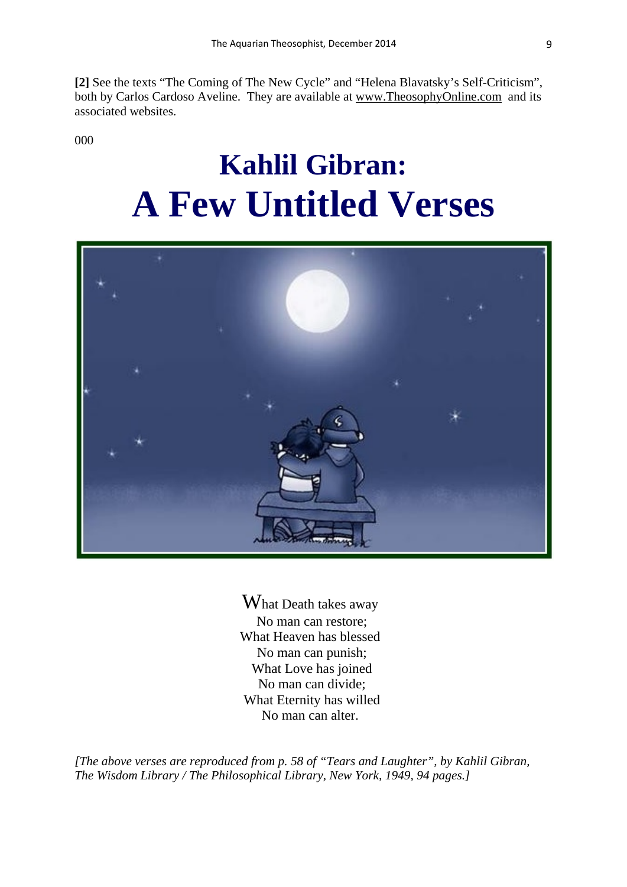**[2]** See the texts "The Coming of The New Cycle" and "Helena Blavatsky's Self-Criticism", both by Carlos Cardoso Aveline. They are available at [www.TheosophyOnline.com](http://www.theosophyonline.com/) and its associated websites.

000

# **Kahlil Gibran: A Few Untitled Verses**



What Death takes away No man can restore; What Heaven has blessed No man can punish; What Love has joined No man can divide; What Eternity has willed No man can alter.

*[The above verses are reproduced from p. 58 of "Tears and Laughter", by Kahlil Gibran, The Wisdom Library / The Philosophical Library, New York, 1949, 94 pages.]*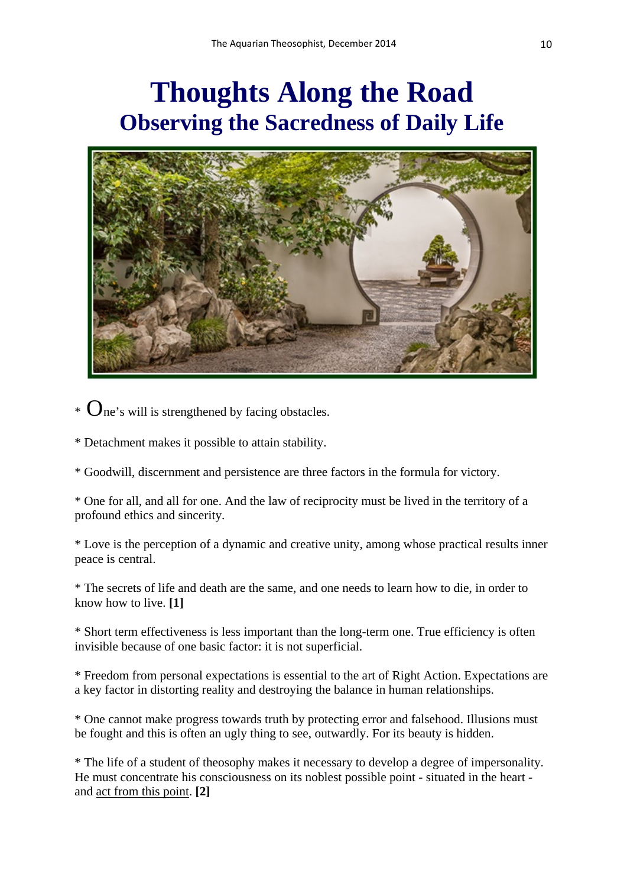### **Thoughts Along the Road Observing the Sacredness of Daily Life**



 $\ast$   $\mathbf{O}_{\text{ne}}$ 's will is strengthened by facing obstacles.

\* Detachment makes it possible to attain stability.

\* Goodwill, discernment and persistence are three factors in the formula for victory.

\* One for all, and all for one. And the law of reciprocity must be lived in the territory of a profound ethics and sincerity.

\* Love is the perception of a dynamic and creative unity, among whose practical results inner peace is central.

\* The secrets of life and death are the same, and one needs to learn how to die, in order to know how to live. **[1]**

\* Short term effectiveness is less important than the long-term one. True efficiency is often invisible because of one basic factor: it is not superficial.

\* Freedom from personal expectations is essential to the art of Right Action. Expectations are a key factor in distorting reality and destroying the balance in human relationships.

\* One cannot make progress towards truth by protecting error and falsehood. Illusions must be fought and this is often an ugly thing to see, outwardly. For its beauty is hidden.

\* The life of a student of theosophy makes it necessary to develop a degree of impersonality. He must concentrate his consciousness on its noblest possible point - situated in the heart and act from this point. **[2]**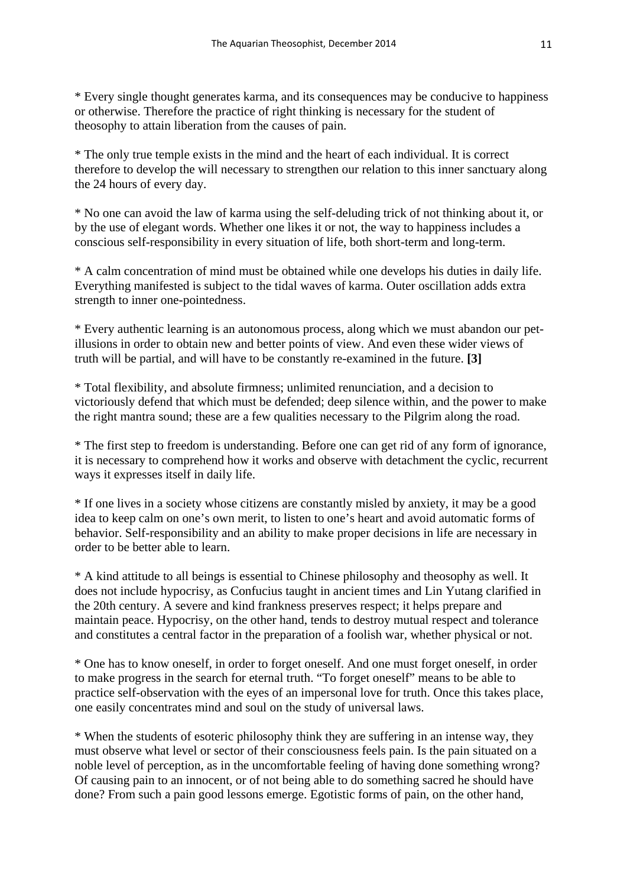\* Every single thought generates karma, and its consequences may be conducive to happiness or otherwise. Therefore the practice of right thinking is necessary for the student of theosophy to attain liberation from the causes of pain.

\* The only true temple exists in the mind and the heart of each individual. It is correct therefore to develop the will necessary to strengthen our relation to this inner sanctuary along the 24 hours of every day.

\* No one can avoid the law of karma using the self-deluding trick of not thinking about it, or by the use of elegant words. Whether one likes it or not, the way to happiness includes a conscious self-responsibility in every situation of life, both short-term and long-term.

\* A calm concentration of mind must be obtained while one develops his duties in daily life. Everything manifested is subject to the tidal waves of karma. Outer oscillation adds extra strength to inner one-pointedness.

\* Every authentic learning is an autonomous process, along which we must abandon our petillusions in order to obtain new and better points of view. And even these wider views of truth will be partial, and will have to be constantly re-examined in the future. **[3]** 

\* Total flexibility, and absolute firmness; unlimited renunciation, and a decision to victoriously defend that which must be defended; deep silence within, and the power to make the right mantra sound; these are a few qualities necessary to the Pilgrim along the road.

\* The first step to freedom is understanding. Before one can get rid of any form of ignorance, it is necessary to comprehend how it works and observe with detachment the cyclic, recurrent ways it expresses itself in daily life.

\* If one lives in a society whose citizens are constantly misled by anxiety, it may be a good idea to keep calm on one's own merit, to listen to one's heart and avoid automatic forms of behavior. Self-responsibility and an ability to make proper decisions in life are necessary in order to be better able to learn.

\* A kind attitude to all beings is essential to Chinese philosophy and theosophy as well. It does not include hypocrisy, as Confucius taught in ancient times and Lin Yutang clarified in the 20th century. A severe and kind frankness preserves respect; it helps prepare and maintain peace. Hypocrisy, on the other hand, tends to destroy mutual respect and tolerance and constitutes a central factor in the preparation of a foolish war, whether physical or not.

\* One has to know oneself, in order to forget oneself. And one must forget oneself, in order to make progress in the search for eternal truth. "To forget oneself" means to be able to practice self-observation with the eyes of an impersonal love for truth. Once this takes place, one easily concentrates mind and soul on the study of universal laws.

\* When the students of esoteric philosophy think they are suffering in an intense way, they must observe what level or sector of their consciousness feels pain. Is the pain situated on a noble level of perception, as in the uncomfortable feeling of having done something wrong? Of causing pain to an innocent, or of not being able to do something sacred he should have done? From such a pain good lessons emerge. Egotistic forms of pain, on the other hand,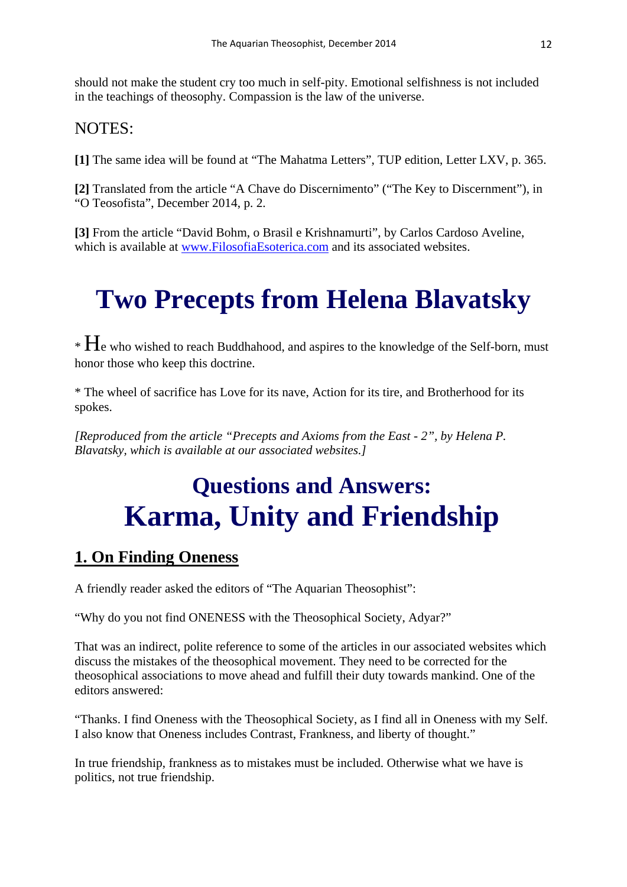should not make the student cry too much in self-pity. Emotional selfishness is not included in the teachings of theosophy. Compassion is the law of the universe.

#### NOTES:

**[1]** The same idea will be found at "The Mahatma Letters", TUP edition, Letter LXV, p. 365.

**[2]** Translated from the article "A Chave do Discernimento" ("The Key to Discernment"), in "O Teosofista", December 2014, p. 2.

**[3]** From the article "David Bohm, o Brasil e Krishnamurti", by Carlos Cardoso Aveline, which is available at [www.FilosofiaEsoterica.com](http://www.filosofiaesoterica.com/) and its associated websites.

## **Two Precepts from Helena Blavatsky**

 $*$   $H_e$  who wished to reach Buddhahood, and aspires to the knowledge of the Self-born, must honor those who keep this doctrine.

\* The wheel of sacrifice has Love for its nave, Action for its tire, and Brotherhood for its spokes.

*[Reproduced from the article "Precepts and Axioms from the East - 2", by Helena P. Blavatsky, which is available at our associated websites.]* 

### **Questions and Answers: Karma, Unity and Friendship**

### **1. On Finding Oneness**

A friendly reader asked the editors of "The Aquarian Theosophist":

"Why do you not find ONENESS with the Theosophical Society, Adyar?"

That was an indirect, polite reference to some of the articles in our associated websites which discuss the mistakes of the theosophical movement. They need to be corrected for the theosophical associations to move ahead and fulfill their duty towards mankind. One of the editors answered:

"Thanks. I find Oneness with the Theosophical Society, as I find all in Oneness with my Self. I also know that Oneness includes Contrast, Frankness, and liberty of thought."

In true friendship, frankness as to mistakes must be included. Otherwise what we have is politics, not true friendship.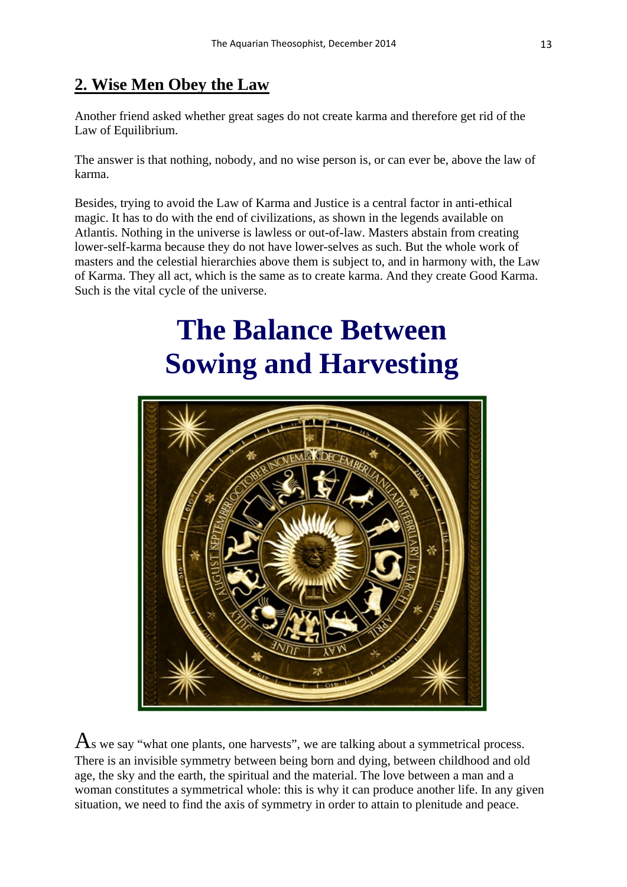### **2. Wise Men Obey the Law**

Another friend asked whether great sages do not create karma and therefore get rid of the Law of Equilibrium.

The answer is that nothing, nobody, and no wise person is, or can ever be, above the law of karma.

Besides, trying to avoid the Law of Karma and Justice is a central factor in anti-ethical magic. It has to do with the end of civilizations, as shown in the legends available on Atlantis. Nothing in the universe is lawless or out-of-law. Masters abstain from creating lower-self-karma because they do not have lower-selves as such. But the whole work of masters and the celestial hierarchies above them is subject to, and in harmony with, the Law of Karma. They all act, which is the same as to create karma. And they create Good Karma. Such is the vital cycle of the universe.

# **The Balance Between Sowing and Harvesting**



 $\mathbf{A}_s$  we say "what one plants, one harvests", we are talking about a symmetrical process. There is an invisible symmetry between being born and dying, between childhood and old age, the sky and the earth, the spiritual and the material. The love between a man and a woman constitutes a symmetrical whole: this is why it can produce another life. In any given situation, we need to find the axis of symmetry in order to attain to plenitude and peace.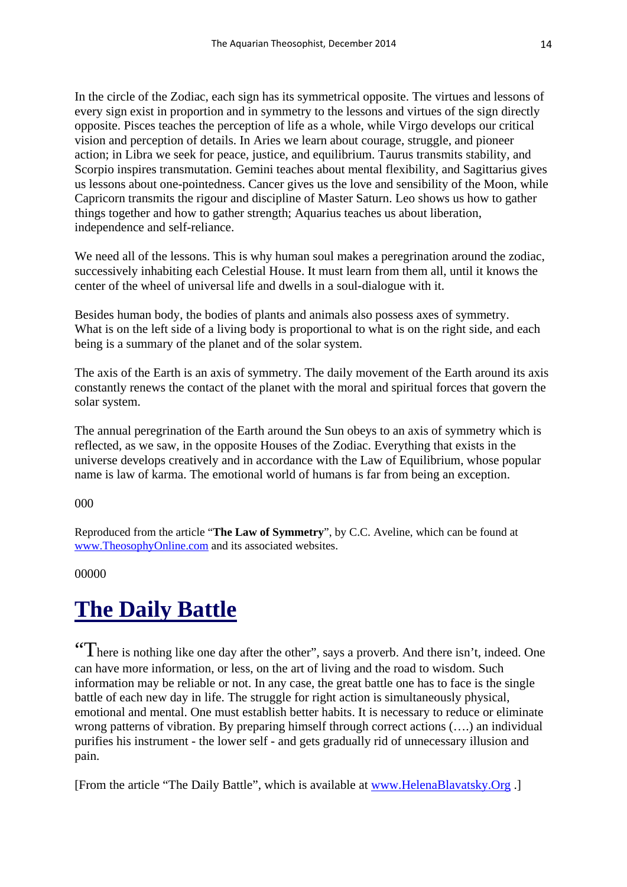In the circle of the Zodiac, each sign has its symmetrical opposite. The virtues and lessons of every sign exist in proportion and in symmetry to the lessons and virtues of the sign directly opposite. Pisces teaches the perception of life as a whole, while Virgo develops our critical vision and perception of details. In Aries we learn about courage, struggle, and pioneer action; in Libra we seek for peace, justice, and equilibrium. Taurus transmits stability, and Scorpio inspires transmutation. Gemini teaches about mental flexibility, and Sagittarius gives us lessons about one-pointedness. Cancer gives us the love and sensibility of the Moon, while Capricorn transmits the rigour and discipline of Master Saturn. Leo shows us how to gather things together and how to gather strength; Aquarius teaches us about liberation, independence and self-reliance.

We need all of the lessons. This is why human soul makes a peregrination around the zodiac, successively inhabiting each Celestial House. It must learn from them all, until it knows the center of the wheel of universal life and dwells in a soul-dialogue with it.

Besides human body, the bodies of plants and animals also possess axes of symmetry. What is on the left side of a living body is proportional to what is on the right side, and each being is a summary of the planet and of the solar system.

The axis of the Earth is an axis of symmetry. The daily movement of the Earth around its axis constantly renews the contact of the planet with the moral and spiritual forces that govern the solar system.

The annual peregrination of the Earth around the Sun obeys to an axis of symmetry which is reflected, as we saw, in the opposite Houses of the Zodiac. Everything that exists in the universe develops creatively and in accordance with the Law of Equilibrium, whose popular name is law of karma. The emotional world of humans is far from being an exception.

#### 000

Reproduced from the article "**The Law of Symmetry**", by C.C. Aveline, which can be found at [www.TheosophyOnline.com](http://www.theosophyonline.com/) and its associated websites.

#### 00000

### **The Daily Battle**

"There is nothing like one day after the other", says a proverb. And there isn't, indeed. One can have more information, or less, on the art of living and the road to wisdom. Such information may be reliable or not. In any case, the great battle one has to face is the single battle of each new day in life. The struggle for right action is simultaneously physical, emotional and mental. One must establish better habits. It is necessary to reduce or eliminate wrong patterns of vibration. By preparing himself through correct actions (….) an individual purifies his instrument - the lower self - and gets gradually rid of unnecessary illusion and pain.

[From the article "The Daily Battle", which is available at [www.HelenaBlavatsky.Org](http://www.helenablavatsky.org/) .]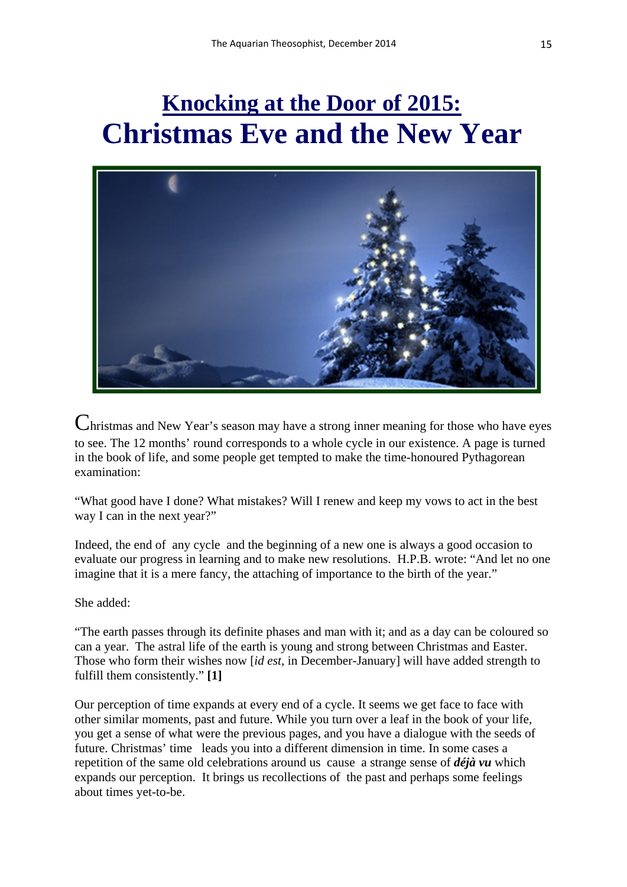### **Knocking at the Door of 2015: Christmas Eve and the New Year**



Christmas and New Year's season may have a strong inner meaning for those who have eyes to see. The 12 months' round corresponds to a whole cycle in our existence. A page is turned in the book of life, and some people get tempted to make the time-honoured Pythagorean examination:

"What good have I done? What mistakes? Will I renew and keep my vows to act in the best way I can in the next year?"

Indeed, the end of any cycle and the beginning of a new one is always a good occasion to evaluate our progress in learning and to make new resolutions. H.P.B. wrote: "And let no one imagine that it is a mere fancy, the attaching of importance to the birth of the year."

She added:

"The earth passes through its definite phases and man with it; and as a day can be coloured so can a year. The astral life of the earth is young and strong between Christmas and Easter. Those who form their wishes now [*id est*, in December-January] will have added strength to fulfill them consistently." **[1]**

Our perception of time expands at every end of a cycle. It seems we get face to face with other similar moments, past and future. While you turn over a leaf in the book of your life, you get a sense of what were the previous pages, and you have a dialogue with the seeds of future. Christmas' time leads you into a different dimension in time. In some cases a repetition of the same old celebrations around us cause a strange sense of *déjà vu* which expands our perception. It brings us recollections of the past and perhaps some feelings about times yet-to-be.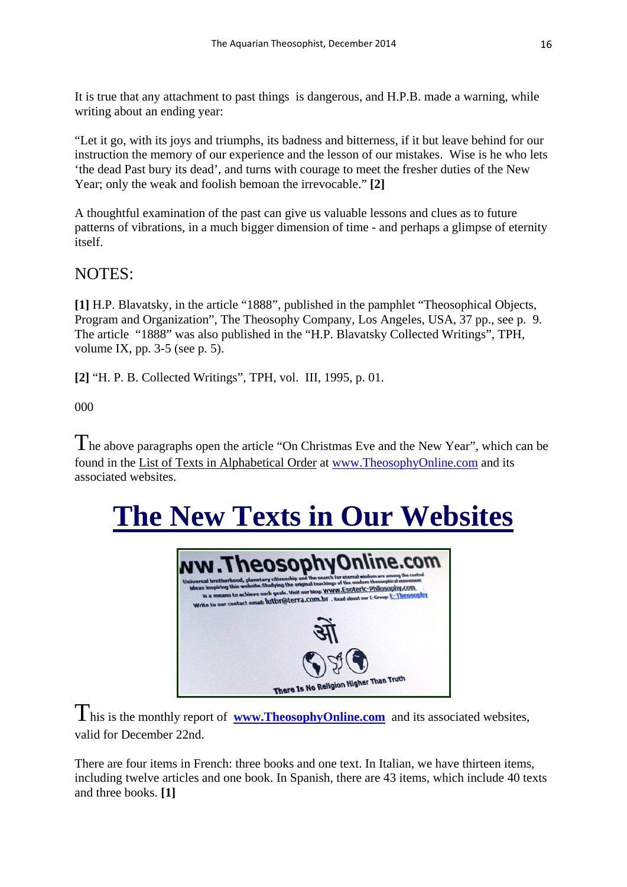It is true that any attachment to past things is dangerous, and H.P.B. made a warning, while writing about an ending year:

"Let it go, with its joys and triumphs, its badness and bitterness, if it but leave behind for our instruction the memory of our experience and the lesson of our mistakes. Wise is he who lets 'the dead Past bury its dead', and turns with courage to meet the fresher duties of the New Year; only the weak and foolish bemoan the irrevocable." **[2]**

A thoughtful examination of the past can give us valuable lessons and clues as to future patterns of vibrations, in a much bigger dimension of time - and perhaps a glimpse of eternity itself.

#### NOTES:

**[1]** H.P. Blavatsky, in the article "1888", published in the pamphlet "Theosophical Objects, Program and Organization", The Theosophy Company, Los Angeles, USA, 37 pp., see p. 9. The article "1888" was also published in the "H.P. Blavatsky Collected Writings", TPH, volume IX, pp.  $3-5$  (see p. 5).

**[2]** "H. P. B. Collected Writings", TPH, vol. III, 1995, p. 01.

000

The above paragraphs open the article "On Christmas Eve and the New Year", which can be found in the List of Texts in Alphabetical Order at [www.TheosophyOnline.com](http://www.theosophyonline.com/) and its associated websites.

# **The New Texts in Our Websites**



This is the monthly report of **[www.TheosophyOnline.com](http://www.theosophyonline.com/)** and its associated websites, valid for December 22nd.

There are four items in French: three books and one text. In Italian, we have thirteen items, including twelve articles and one book. In Spanish, there are 43 items, which include 40 texts and three books. **[1]**